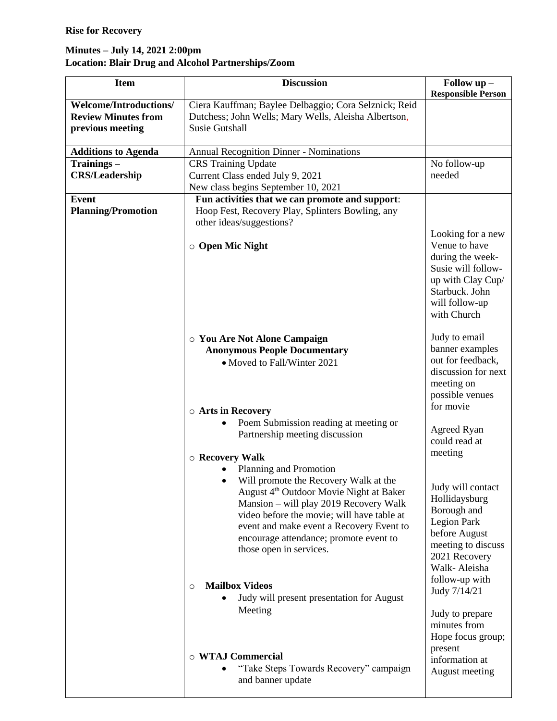## **Rise for Recovery**

## **Minutes – July 14, 2021 2:00pm Location: Blair Drug and Alcohol Partnerships/Zoom**

| <b>Item</b>                                                                     | <b>Discussion</b>                                                                                                                                                                                                                                                                                                                                                                                                           | Follow up -<br><b>Responsible Person</b>                                                                                                                                                                             |
|---------------------------------------------------------------------------------|-----------------------------------------------------------------------------------------------------------------------------------------------------------------------------------------------------------------------------------------------------------------------------------------------------------------------------------------------------------------------------------------------------------------------------|----------------------------------------------------------------------------------------------------------------------------------------------------------------------------------------------------------------------|
| <b>Welcome/Introductions/</b><br><b>Review Minutes from</b><br>previous meeting | Ciera Kauffman; Baylee Delbaggio; Cora Selznick; Reid<br>Dutchess; John Wells; Mary Wells, Aleisha Albertson,<br><b>Susie Gutshall</b>                                                                                                                                                                                                                                                                                      |                                                                                                                                                                                                                      |
| <b>Additions to Agenda</b>                                                      | <b>Annual Recognition Dinner - Nominations</b>                                                                                                                                                                                                                                                                                                                                                                              |                                                                                                                                                                                                                      |
| Trainings-<br><b>CRS/Leadership</b>                                             | <b>CRS</b> Training Update<br>Current Class ended July 9, 2021<br>New class begins September 10, 2021                                                                                                                                                                                                                                                                                                                       | No follow-up<br>needed                                                                                                                                                                                               |
| <b>Event</b>                                                                    | Fun activities that we can promote and support:                                                                                                                                                                                                                                                                                                                                                                             |                                                                                                                                                                                                                      |
| <b>Planning/Promotion</b>                                                       | Hoop Fest, Recovery Play, Splinters Bowling, any                                                                                                                                                                                                                                                                                                                                                                            |                                                                                                                                                                                                                      |
|                                                                                 | other ideas/suggestions?                                                                                                                                                                                                                                                                                                                                                                                                    |                                                                                                                                                                                                                      |
|                                                                                 | $\circ$ Open Mic Night                                                                                                                                                                                                                                                                                                                                                                                                      | Looking for a new<br>Venue to have<br>during the week-<br>Susie will follow-<br>up with Clay Cup/<br>Starbuck. John<br>will follow-up<br>with Church                                                                 |
|                                                                                 | O You Are Not Alone Campaign<br><b>Anonymous People Documentary</b><br>• Moved to Fall/Winter 2021<br>○ Arts in Recovery                                                                                                                                                                                                                                                                                                    | Judy to email<br>banner examples<br>out for feedback,<br>discussion for next<br>meeting on<br>possible venues<br>for movie                                                                                           |
|                                                                                 | Poem Submission reading at meeting or                                                                                                                                                                                                                                                                                                                                                                                       |                                                                                                                                                                                                                      |
|                                                                                 | Partnership meeting discussion                                                                                                                                                                                                                                                                                                                                                                                              | Agreed Ryan<br>could read at                                                                                                                                                                                         |
|                                                                                 | $\circ$ Recovery Walk                                                                                                                                                                                                                                                                                                                                                                                                       | meeting                                                                                                                                                                                                              |
|                                                                                 | Planning and Promotion<br>Will promote the Recovery Walk at the<br>August 4 <sup>th</sup> Outdoor Movie Night at Baker<br>Mansion – will play 2019 Recovery Walk<br>video before the movie; will have table at<br>event and make event a Recovery Event to<br>encourage attendance; promote event to<br>those open in services.<br><b>Mailbox Videos</b><br>$\circ$<br>Judy will present presentation for August<br>Meeting | Judy will contact<br>Hollidaysburg<br>Borough and<br><b>Legion Park</b><br>before August<br>meeting to discuss<br>2021 Recovery<br>Walk-Aleisha<br>follow-up with<br>Judy 7/14/21<br>Judy to prepare<br>minutes from |
|                                                                                 | o WTAJ Commercial<br>"Take Steps Towards Recovery" campaign<br>and banner update                                                                                                                                                                                                                                                                                                                                            | Hope focus group;<br>present<br>information at<br>August meeting                                                                                                                                                     |